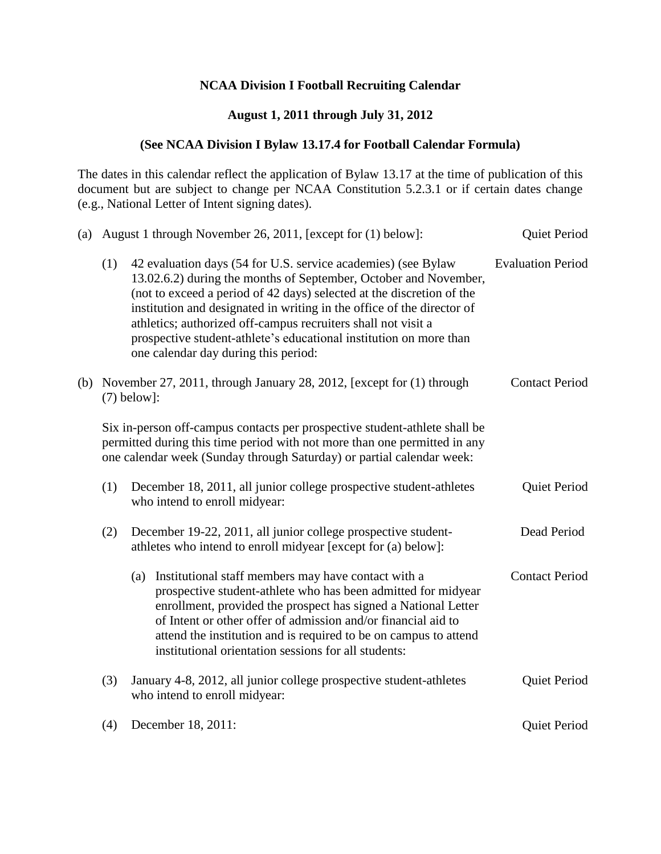## **NCAA Division I Football Recruiting Calendar**

## **August 1, 2011 through July 31, 2012**

## **(See NCAA Division I Bylaw 13.17.4 for Football Calendar Formula)**

The dates in this calendar reflect the application of Bylaw 13.17 at the time of publication of this document but are subject to change per NCAA Constitution 5.2.3.1 or if certain dates change (e.g., National Letter of Intent signing dates).

| (a) |                                                                                                                                       | August 1 through November 26, 2011, [except for (1) below]:                                                                                                                                                                                                                                                                                                                                                                                                         | Quiet Period             |
|-----|---------------------------------------------------------------------------------------------------------------------------------------|---------------------------------------------------------------------------------------------------------------------------------------------------------------------------------------------------------------------------------------------------------------------------------------------------------------------------------------------------------------------------------------------------------------------------------------------------------------------|--------------------------|
|     | (1)                                                                                                                                   | 42 evaluation days (54 for U.S. service academies) (see Bylaw<br>13.02.6.2) during the months of September, October and November,<br>(not to exceed a period of 42 days) selected at the discretion of the<br>institution and designated in writing in the office of the director of<br>athletics; authorized off-campus recruiters shall not visit a<br>prospective student-athlete's educational institution on more than<br>one calendar day during this period: | <b>Evaluation Period</b> |
|     |                                                                                                                                       | (b) November $27$ , $2011$ , through January 28, $2012$ , [except for $(1)$ through<br>$(7)$ below]:                                                                                                                                                                                                                                                                                                                                                                | <b>Contact Period</b>    |
|     |                                                                                                                                       | Six in-person off-campus contacts per prospective student-athlete shall be<br>permitted during this time period with not more than one permitted in any<br>one calendar week (Sunday through Saturday) or partial calendar week:                                                                                                                                                                                                                                    |                          |
|     | (1)                                                                                                                                   | December 18, 2011, all junior college prospective student-athletes<br>who intend to enroll midyear:                                                                                                                                                                                                                                                                                                                                                                 | Quiet Period             |
|     | December 19-22, 2011, all junior college prospective student-<br>(2)<br>athletes who intend to enroll midyear [except for (a) below]: |                                                                                                                                                                                                                                                                                                                                                                                                                                                                     | Dead Period              |
|     |                                                                                                                                       | (a) Institutional staff members may have contact with a<br>prospective student-athlete who has been admitted for midyear<br>enrollment, provided the prospect has signed a National Letter<br>of Intent or other offer of admission and/or financial aid to<br>attend the institution and is required to be on campus to attend<br>institutional orientation sessions for all students:                                                                             | <b>Contact Period</b>    |
|     | (3)                                                                                                                                   | January 4-8, 2012, all junior college prospective student-athletes<br>who intend to enroll midyear:                                                                                                                                                                                                                                                                                                                                                                 | Quiet Period             |
|     | (4)                                                                                                                                   | December 18, 2011:                                                                                                                                                                                                                                                                                                                                                                                                                                                  | Quiet Period             |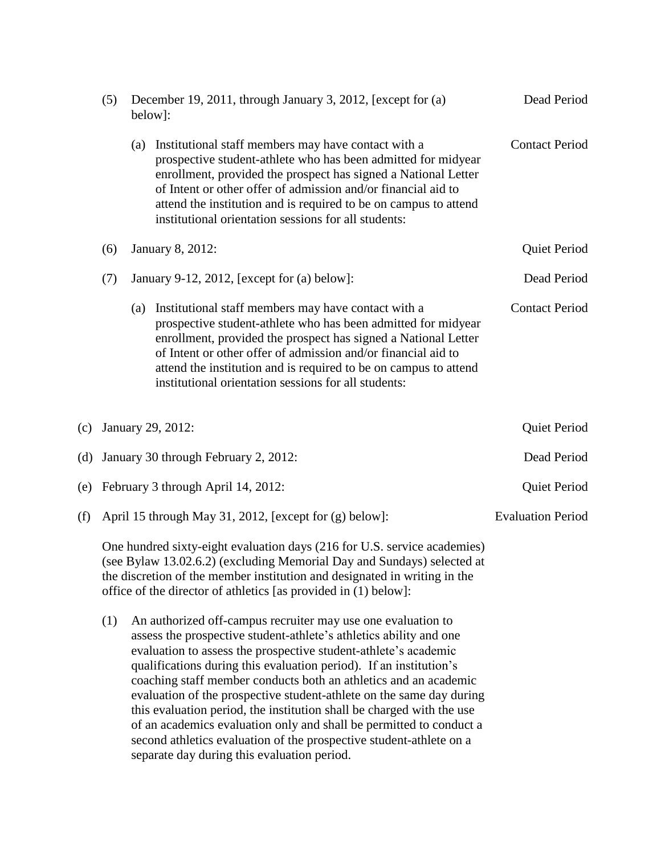|     | (5)                                                    | December 19, 2011, through January 3, 2012, [except for (a)<br>below]:                                                                                                                                                                                                                             |                                                                                                                                                                                                                                                                                                                                                                                                                                                                                                                                                                                                                                                                                               | Dead Period           |  |
|-----|--------------------------------------------------------|----------------------------------------------------------------------------------------------------------------------------------------------------------------------------------------------------------------------------------------------------------------------------------------------------|-----------------------------------------------------------------------------------------------------------------------------------------------------------------------------------------------------------------------------------------------------------------------------------------------------------------------------------------------------------------------------------------------------------------------------------------------------------------------------------------------------------------------------------------------------------------------------------------------------------------------------------------------------------------------------------------------|-----------------------|--|
|     |                                                        |                                                                                                                                                                                                                                                                                                    | (a) Institutional staff members may have contact with a<br>prospective student-athlete who has been admitted for midyear<br>enrollment, provided the prospect has signed a National Letter<br>of Intent or other offer of admission and/or financial aid to<br>attend the institution and is required to be on campus to attend<br>institutional orientation sessions for all students:                                                                                                                                                                                                                                                                                                       | <b>Contact Period</b> |  |
|     | (6)                                                    |                                                                                                                                                                                                                                                                                                    | January 8, 2012:                                                                                                                                                                                                                                                                                                                                                                                                                                                                                                                                                                                                                                                                              | Quiet Period          |  |
|     | (7)                                                    |                                                                                                                                                                                                                                                                                                    | January 9-12, 2012, [except for $(a)$ below]:                                                                                                                                                                                                                                                                                                                                                                                                                                                                                                                                                                                                                                                 | Dead Period           |  |
|     |                                                        | (a)                                                                                                                                                                                                                                                                                                | Institutional staff members may have contact with a<br>prospective student-athlete who has been admitted for midyear<br>enrollment, provided the prospect has signed a National Letter<br>of Intent or other offer of admission and/or financial aid to<br>attend the institution and is required to be on campus to attend<br>institutional orientation sessions for all students:                                                                                                                                                                                                                                                                                                           | <b>Contact Period</b> |  |
| (c) | January 29, 2012:                                      |                                                                                                                                                                                                                                                                                                    | Quiet Period                                                                                                                                                                                                                                                                                                                                                                                                                                                                                                                                                                                                                                                                                  |                       |  |
| (d) | January 30 through February 2, 2012:                   |                                                                                                                                                                                                                                                                                                    | Dead Period                                                                                                                                                                                                                                                                                                                                                                                                                                                                                                                                                                                                                                                                                   |                       |  |
| (e) | February 3 through April 14, 2012:                     |                                                                                                                                                                                                                                                                                                    |                                                                                                                                                                                                                                                                                                                                                                                                                                                                                                                                                                                                                                                                                               |                       |  |
| (f) | April 15 through May 31, 2012, [except for (g) below]: |                                                                                                                                                                                                                                                                                                    | <b>Evaluation Period</b>                                                                                                                                                                                                                                                                                                                                                                                                                                                                                                                                                                                                                                                                      |                       |  |
|     |                                                        | One hundred sixty-eight evaluation days (216 for U.S. service academies)<br>(see Bylaw 13.02.6.2) (excluding Memorial Day and Sundays) selected at<br>the discretion of the member institution and designated in writing in the<br>office of the director of athletics [as provided in (1) below]: |                                                                                                                                                                                                                                                                                                                                                                                                                                                                                                                                                                                                                                                                                               |                       |  |
|     | (1)                                                    |                                                                                                                                                                                                                                                                                                    | An authorized off-campus recruiter may use one evaluation to<br>assess the prospective student-athlete's athletics ability and one<br>evaluation to assess the prospective student-athlete's academic<br>qualifications during this evaluation period). If an institution's<br>coaching staff member conducts both an athletics and an academic<br>evaluation of the prospective student-athlete on the same day during<br>this evaluation period, the institution shall be charged with the use<br>of an academics evaluation only and shall be permitted to conduct a<br>second athletics evaluation of the prospective student-athlete on a<br>separate day during this evaluation period. |                       |  |